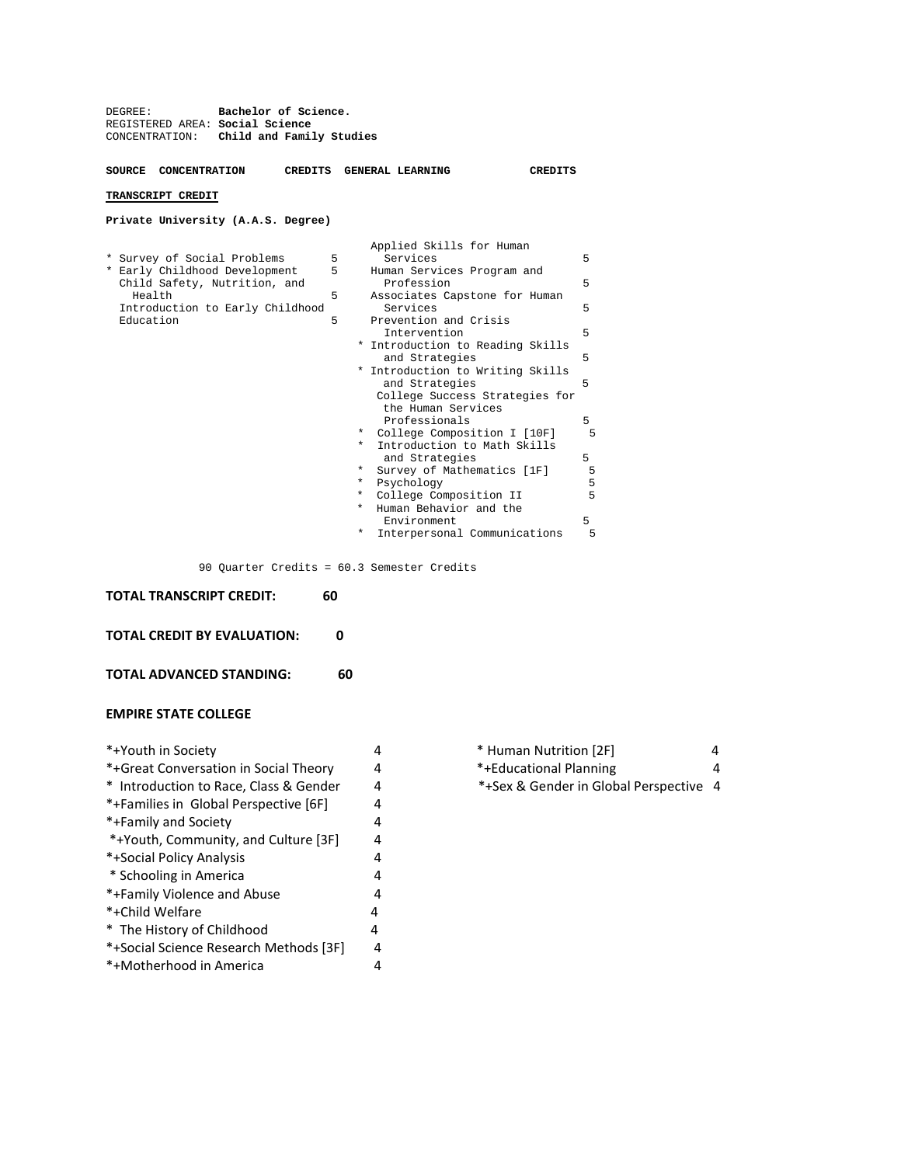DEGREE: **Bachelor of Science.** REGISTERED AREA: **Social Science** CONCENTRATION: **Child and Family Studies**

#### **SOURCE CONCENTRATION CREDITS GENERAL LEARNING CREDITS**

### **TRANSCRIPT CREDIT**

**Private University (A.A.S. Degree)**

|                                 |   |         | Applied Skills for Human         |   |
|---------------------------------|---|---------|----------------------------------|---|
| * Survey of Social Problems     | 5 |         | Services                         | 5 |
| * Early Childhood Development   | 5 |         | Human Services Program and       |   |
| Child Safety, Nutrition, and    |   |         | Profession                       | 5 |
| Health                          | 5 |         | Associates Capstone for Human    |   |
| Introduction to Early Childhood |   |         | Services                         | 5 |
| Education                       | 5 |         | Prevention and Crisis            |   |
|                                 |   |         | Intervention                     | 5 |
|                                 |   |         | * Introduction to Reading Skills |   |
|                                 |   |         | and Strategies                   | 5 |
|                                 |   |         | * Introduction to Writing Skills |   |
|                                 |   |         | and Strategies                   | 5 |
|                                 |   |         | College Success Strategies for   |   |
|                                 |   |         | the Human Services               |   |
|                                 |   |         | Professionals                    | 5 |
|                                 |   |         | * College Composition I [10F]    | 5 |
|                                 |   | $\star$ | Introduction to Math Skills      |   |
|                                 |   |         | and Strategies                   | 5 |
|                                 |   | *       | Survey of Mathematics [1F]       | 5 |
|                                 |   | *       | Psychology                       | 5 |
|                                 |   | $\ast$  | College Composition II           | 5 |
|                                 |   | $\star$ | Human Behavior and the           |   |
|                                 |   |         | Environment                      | 5 |
|                                 |   | $\ast$  | Interpersonal Communications     | 5 |
|                                 |   |         |                                  |   |

90 Quarter Credits = 60.3 Semester Credits

## **TOTAL TRANSCRIPT CREDIT: 60**

**TOTAL CREDIT BY EVALUATION: 0**

**TOTAL ADVANCED STANDING: 60**

### **EMPIRE STATE COLLEGE**

| *+Youth in Society                     |   | * Human Nutrition [2F]                 | 4 |
|----------------------------------------|---|----------------------------------------|---|
| *+Great Conversation in Social Theory  | 4 | *+Educational Planning                 | 4 |
| * Introduction to Race, Class & Gender | 4 | *+Sex & Gender in Global Perspective 4 |   |
| *+Families in Global Perspective [6F]  | 4 |                                        |   |
| *+Family and Society                   |   |                                        |   |
| *+Youth, Community, and Culture [3F]   | 4 |                                        |   |
| *+Social Policy Analysis               |   |                                        |   |
| * Schooling in America                 |   |                                        |   |
| *+Family Violence and Abuse            |   |                                        |   |
| *+Child Welfare                        | 4 |                                        |   |
| * The History of Childhood             | 4 |                                        |   |
| *+Social Science Research Methods [3F] | 4 |                                        |   |
| *+Motherhood in America                |   |                                        |   |

| * Human Nutrition [2F]                 | 4 |
|----------------------------------------|---|
| *+Educational Planning                 | 4 |
| *+Sex & Gender in Global Perspective 4 |   |